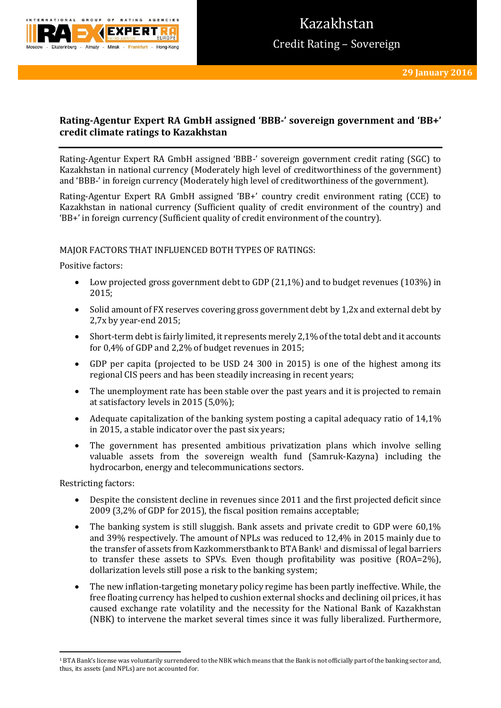

# **Rating-Agentur Expert RA GmbH assigned 'BBB-' sovereign government and 'BB+' credit climate ratings to Kazakhstan**

Rating-Agentur Expert RA GmbH assigned 'BBB-' sovereign government credit rating (SGC) to Kazakhstan in national currency (Moderately high level of creditworthiness of the government) and 'BBB-' in foreign currency (Moderately high level of creditworthiness of the government).

Rating-Agentur Expert RA GmbH assigned 'BB+' country credit environment rating (CCE) to Kazakhstan in national currency (Sufficient quality of credit environment of the country) and 'BB+' in foreign currency (Sufficient quality of credit environment of the country).

## MAJOR FACTORS THAT INFLUENCED BOTH TYPES OF RATINGS:

Positive factors:

- Low projected gross government debt to GDP  $(21,1\%)$  and to budget revenues  $(103\%)$  in 2015;
- Solid amount of FX reserves covering gross government debt by 1,2x and external debt by 2,7x by year-end 2015;
- Short-term debt is fairly limited, it represents merely 2,1% of the total debt and it accounts for 0,4% of GDP and 2,2% of budget revenues in 2015;
- GDP per capita (projected to be USD 24 300 in 2015) is one of the highest among its regional CIS peers and has been steadily increasing in recent years;
- The unemployment rate has been stable over the past years and it is projected to remain at satisfactory levels in 2015 (5,0%);
- Adequate capitalization of the banking system posting a capital adequacy ratio of 14,1% in 2015, a stable indicator over the past six years;
- The government has presented ambitious privatization plans which involve selling valuable assets from the sovereign wealth fund (Samruk-Kazyna) including the hydrocarbon, energy and telecommunications sectors.

Restricting factors:

**.** 

- Despite the consistent decline in revenues since 2011 and the first projected deficit since 2009 (3,2% of GDP for 2015), the fiscal position remains acceptable;
- The banking system is still sluggish. Bank assets and private credit to GDP were 60,1% and 39% respectively. The amount of NPLs was reduced to 12,4% in 2015 mainly due to the transfer of assets from Kazkommerstbank to BTA Bank<sup>1</sup> and dismissal of legal barriers to transfer these assets to SPVs. Even though profitability was positive (ROA=2%), dollarization levels still pose a risk to the banking system;
- The new inflation-targeting monetary policy regime has been partly ineffective. While, the free floating currency has helped to cushion external shocks and declining oil prices, it has caused exchange rate volatility and the necessity for the National Bank of Kazakhstan (NBK) to intervene the market several times since it was fully liberalized. Furthermore,

<sup>&</sup>lt;sup>1</sup> BTA Bank's license was voluntarily surrendered to the NBK which means that the Bank is not officially part of the banking sector and, thus, its assets (and NPLs) are not accounted for.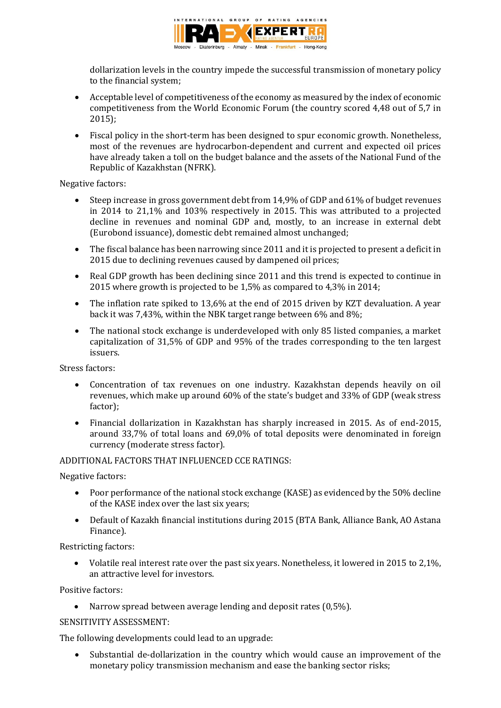

dollarization levels in the country impede the successful transmission of monetary policy to the financial system;

- Acceptable level of competitiveness of the economy as measured by the index of economic competitiveness from the World Economic Forum (the country scored 4,48 out of 5,7 in 2015);
- Fiscal policy in the short-term has been designed to spur economic growth. Nonetheless, most of the revenues are hydrocarbon-dependent and current and expected oil prices have already taken a toll on the budget balance and the assets of the National Fund of the Republic of Kazakhstan (NFRK).

Negative factors:

- Steep increase in gross government debt from 14,9% of GDP and 61% of budget revenues in 2014 to 21,1% and 103% respectively in 2015. This was attributed to a projected decline in revenues and nominal GDP and, mostly, to an increase in external debt (Eurobond issuance), domestic debt remained almost unchanged;
- The fiscal balance has been narrowing since 2011 and it is projected to present a deficit in 2015 due to declining revenues caused by dampened oil prices;
- Real GDP growth has been declining since 2011 and this trend is expected to continue in 2015 where growth is projected to be 1,5% as compared to 4,3% in 2014;
- The inflation rate spiked to 13,6% at the end of 2015 driven by KZT devaluation. A year back it was 7,43%, within the NBK target range between 6% and 8%;
- The national stock exchange is underdeveloped with only 85 listed companies, a market capitalization of 31,5% of GDP and 95% of the trades corresponding to the ten largest issuers.

Stress factors:

- Concentration of tax revenues on one industry. Kazakhstan depends heavily on oil revenues, which make up around 60% of the state's budget and 33% of GDP (weak stress factor);
- Financial dollarization in Kazakhstan has sharply increased in 2015. As of end-2015, around 33,7% of total loans and 69,0% of total deposits were denominated in foreign currency (moderate stress factor).

## ADDITIONAL FACTORS THAT INFLUENCED CCE RATINGS:

Negative factors:

- Poor performance of the national stock exchange (KASE) as evidenced by the 50% decline of the KASE index over the last six years;
- Default of Kazakh financial institutions during 2015 (BTA Bank, Alliance Bank, AO Astana Finance).

Restricting factors:

 Volatile real interest rate over the past six years. Nonetheless, it lowered in 2015 to 2,1%, an attractive level for investors.

Positive factors:

• Narrow spread between average lending and deposit rates (0,5%).

SENSITIVITY ASSESSMENT:

The following developments could lead to an upgrade:

 Substantial de-dollarization in the country which would cause an improvement of the monetary policy transmission mechanism and ease the banking sector risks;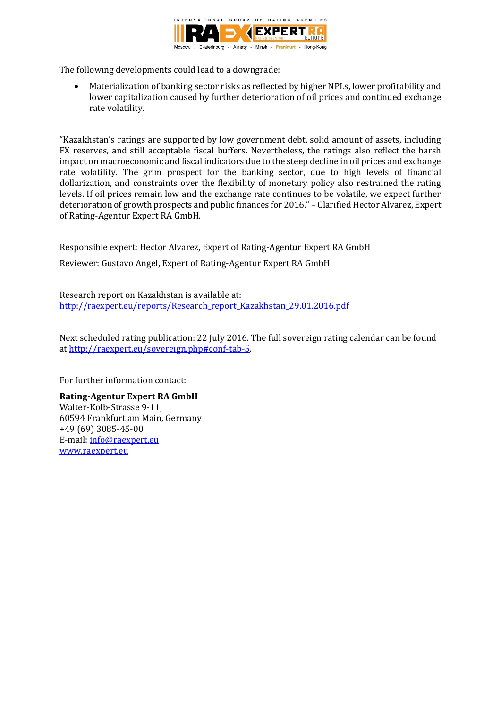

The following developments could lead to a downgrade:

 Materialization of banking sector risks as reflected by higher NPLs, lower profitability and lower capitalization caused by further deterioration of oil prices and continued exchange rate volatility.

"Kazakhstan's ratings are supported by low government debt, solid amount of assets, including FX reserves, and still acceptable fiscal buffers. Nevertheless, the ratings also reflect the harsh impact on macroeconomic and fiscal indicators due to the steep decline in oil prices and exchange rate volatility. The grim prospect for the banking sector, due to high levels of financial dollarization, and constraints over the flexibility of monetary policy also restrained the rating levels. If oil prices remain low and the exchange rate continues to be volatile, we expect further deterioration of growth prospects and public finances for 2016." – Clarified Hector Alvarez, Expert of Rating-Agentur Expert RA GmbH.

Responsible expert: Hector Alvarez, Expert of Rating-Agentur Expert RA GmbH

Reviewer: Gustavo Angel, Expert of Rating-Agentur Expert RA GmbH

Research report on Kazakhstan is available at: [http://raexpert.eu/reports/Research\\_report\\_Kazakhstan\\_29.01.2016.pdf](http://raexpert.eu/reports/Research_report_Kazakhstan_29.01.2016.pdf)

Next scheduled rating publication: 22 July 2016. The full sovereign rating calendar can be found at [http://raexpert.eu/sovereign.php#conf-tab-5.](http://raexpert.eu/sovereign.php#conf-tab-5)

For further information contact:

**Rating-Agentur Expert RA GmbH** Walter-Kolb-Strasse 9-11, 60594 Frankfurt am Main, Germany +49 (69) 3085-45-00 E-mail[: info@raexpert.eu](mailto:info@raexpert.eu) [www.raexpert.eu](http://raexpert.eu/)